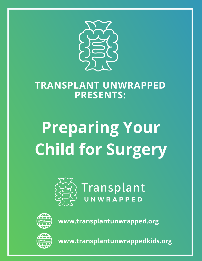

### **TRANSPLANT UNWRAPPED PRESENTS:**

# **Preparing Your Child for Surgery**



Transplant



**www.transplantunwrapped.org**



**www.transplantunwrappedkids.org**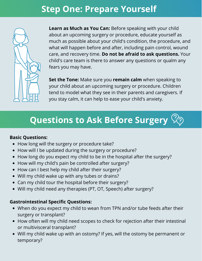### **Step One: Prepare Yourself**



**Learn as Much as You Can:** Before speaking with your child about an upcoming surgery or procedure, educate yourself as much as possible about your child's condition, the procedure, and what will happen before and after, including pain control, wound care, and recovery time. **Do not be afraid to ask questions.** Your child's care team is there to answer any questions or qualm any fears you may have.

**Set the Tone:** Make sure you **remain calm** when speaking to your child about an upcoming surgery or procedure. Children tend to model what they see in their parents and caregivers. If you stay calm, it can help to ease your child's anxiety.

## **Questions to Ask Before Surgery**

#### **Basic Questions:**

- How long will the surgery or procedure take?
- How will I be updated during the surgery or procedure?
- How long do you expect my child to be in the hospital after the surgery?
- How will my child's pain be controlled after surgery?
- How can I best help my child after their surgery?
- Will my child wake up with any tubes or drains?
- Can my child tour the hospital before their surgery?
- Will my child need any therapies (PT, OT, Speech) after surgery?

#### **Gastrointestinal Specific Questions:**

- When do you expect my child to wean from TPN and/or tube feeds after their surgery or transplant?
- How often will my child need scopes to check for rejection after their intestinal or multivisceral transplant?
- Will my child wake up with an ostomy? If yes, will the ostomy be permanent or temporary?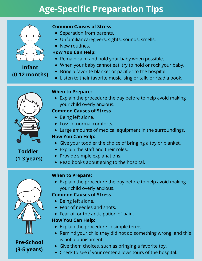## **Age-Specific Preparation Tips**



**Infant**

**(0-12 months)**

#### **Common Causes of Stress**

- Separation from parents.
- Unfamiliar caregivers, sights, sounds, smells.
- New routines.

#### **How You Can Help:**

- Remain calm and hold your baby when possible.
- When your baby cannot eat, try to hold or rock your baby.
- Bring a favorite blanket or pacifier to the hospital.
- Listen to their favorite music, sing or talk, or read a book.



**Toddler**

**(1-3 years)**

#### **When to Prepare:**

Explain the procedure the day before to help avoid making your child overly anxious.

#### **Common Causes of Stress**

- Being left alone.
- Loss of normal comforts.
- Large amounts of medical equipment in the surroundings.

#### **How You Can Help:**

- Give your toddler the choice of bringing a toy or blanket.
- Explain the staff and their roles.
- Provide simple explanations.
- Read books about going to the hospital.

#### **When to Prepare:**

Explain the procedure the day before to help avoid making your child overly anxious.

#### **Common Causes of Stress**

- Being left alone.
- Fear of needles and shots.
- Fear of, or the anticipation of pain.

#### **How You Can Help:**

- Explain the procedure in simple terms.
- Remind your child they did not do something wrong, and this is not a punishment.
- Give them choices, such as bringing a favorite toy.
- Check to see if your center allows tours of the hospital.



### **Pre-School (3-5 years)**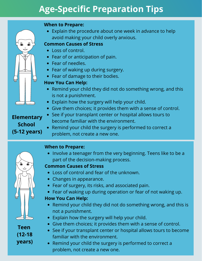### **Age-Specific Preparation Tips**

#### **When to Prepare:**

Explain the procedure about one week in advance to help avoid making your child overly anxious.

#### **Common Causes of Stress**

- Loss of control.
- Fear of or anticipation of pain.
- Fear of needles.
- Fear of waking up during surgery.
- Fear of damage to their bodies.

#### **How You Can Help:**

- Remind your child they did not do something wrong, and this is not a punishment.
- Explain how the surgery will help your child.
- Give them choices; it provides them with a sense of control.
- See if your transplant center or hospital allows tours to become familiar with the environment.
- Remind your child the surgery is performed to correct a problem, not create a new one.



**(12-18**

**years)**

**Elementary**

 $\frac{1}{2}$ 

ெ

**School**

**(5-12 years)**

### **When to Prepare:**

• Involve a teenager from the very beginning. Teens like to be a part of the decision-making process.

#### **Common Causes of Stress**

- Loss of control and fear of the unknown.
- Changes in appearance.
- Fear of surgery, its risks, and associated pain.
- Fear of waking up during operation or fear of not waking up.

#### **How You Can Help:**

- Remind your child they did not do something wrong, and this is not a punishment.
- Explain how the surgery will help your child.
- Give them choices; it provides them with a sense of control.
- See if your transplant center or hospital allows tours to become familiar with the environment.
- Remind your child the surgery is performed to correct a problem, not create a new one.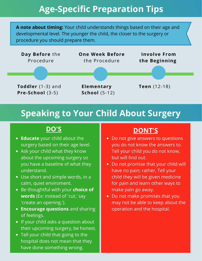### **Age-Specific Preparation Tips**

**A note about timing:** Your child understands things based on their age and developmental level. The younger the child, the closer to the surgery or procedure you should prepare them.



### **Speaking to Your Child About Surgery**

- **Educate** your child about the surgery based on their age level.
- Ask your child what they know about the upcoming surgery so you have a baseline of what they understand.
- Use short and simple words, in a calm, quiet enviroment.
- Be thoughtful with your **choice of words** (Ex: instead of 'cut,' say 'create an opening.').
- **Encourage questions** and sharing of feelings.
- If your child asks a question about their upcoming surgery, be honest.
- Tell your child that going to the hospital does not mean that they have done something wrong.

### **DO'S DONT'S**

- Do not give answers to questions you do not know the answers to. Tell your child you do not know, but will find out.
- Do not promise that your child will have no pain; rather, Tell your child they will be given medicine for pain and learn other ways to make pain go away.
- Do not make promises that you may not be able to keep about the operation and the hospital.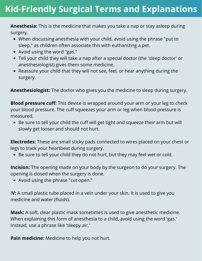### **Kid-Friendly Surgical Terms and Explanations**

**Anesthesia:** This is the medicine that makes you take a nap or stay asleep during surgery.

- When discussing anesthesia with your child, avoid using the phrase "put to sleep," as children often associate this with euthanizing a pet.
- Avoid using the word "gas."
- Tell your child they will take a nap after a special doctor (the 'sleep doctor' or anesthesiologist) gives them some medicine.
- Reassure your child that they will not see, feel, or hear anything during the surgery.

**Anesthesiologist:** The doctor who gives you the medicine to sleep during surgery.

**Blood pressure cuff:** This device is wrapped around your arm or your leg to check your blood pressure. The cuff squeezes your arm or leg when blood pressure is measured.

Be sure to tell your child the cuff will get tight and squeeze their arm but will slowly get looser and should not hurt.

**Electrodes:** These are small sticky pads connected to wires placed on your chest or legs to track your heartbeat during surgery.

Be sure to tell your child they do not hurt, but they may feel wet or cold.

**Incision:** The opening made on your body by the surgeon to do your surgery. The opening is closed when the surgery is done.

Avoid using the phrase "cut open."

I**V:** A small plastic tube placed in a vein under your skin. It is used to give you medicine and water (fluids).

**Mask:** A soft, clear plastic mask sometimes is used to give anesthetic medicine. When explaining this form of anesthesia to a child, avoid using the word 'gas.' Instead, use a phrase like 'sleepy air.'

**Pain medicine**: Medicine to help you not hurt.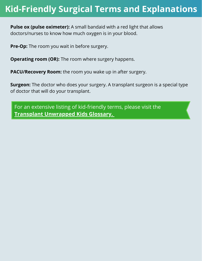### **Kid-Friendly Surgical Terms and Explanations**

**Pulse ox (pulse oximeter):** A small bandaid with a red light that allows doctors/nurses to know how much oxygen is in your blood.

**Pre-Op:** The room you wait in before surgery.

**Operating room (OR):** The room where surgery happens.

**PACU/Recovery Room:** the room you wake up in after surgery.

**Surgeon:** The doctor who does your surgery. A transplant surgeon is a special type of doctor that will do your transplant.

For an extensive listing of kid-friendly terms, please visit the **Transplant [Unwrapped](https://www.transplantunwrappedkids.org/glossary) Kids Glossary[.](https://www.transplantunwrappedkids.org/glossary)**